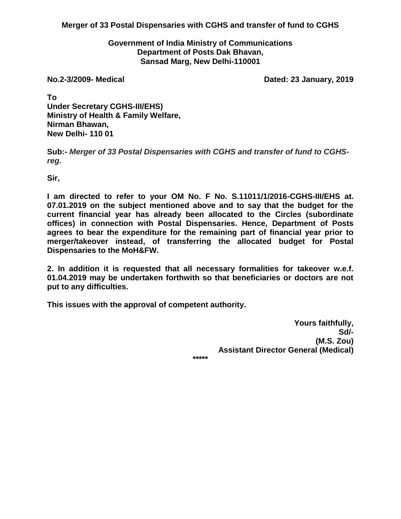**Merger of 33 Postal Dispensaries with CGHS and transfer of fund to CGHS**

#### **Government of India Ministry of Communications Department of Posts Dak Bhavan, Sansad Marg, New Delhi-110001**

**No.2-3/2009- Medical Dated: 23 January, 2019**

**To Under Secretary CGHS-III/EHS) Ministry of Health & Family Welfare, Nirman Bhawan, New Delhi- 110 01**

**Sub:-** *Merger of 33 Postal Dispensaries with CGHS and transfer of fund to CGHSreg.*

**Sir,**

**I am directed to refer to your OM No. F No. S.11011/1/2016-CGHS-III/EHS at. 07.01.2019 on the subject mentioned above and to say that the budget for the current financial year has already been allocated to the Circles (subordinate offices) in connection with Postal Dispensaries. Hence, Department of Posts agrees to bear the expenditure for the remaining part of financial year prior to merger/takeover instead, of transferring the allocated budget for Postal Dispensaries to the MoH&FW.**

**2. In addition it is requested that all necessary formalities for takeover w.e.f. 01.04.2019 may be undertaken forthwith so that beneficiaries or doctors are not put to any difficulties.**

**This issues with the approval of competent authority.**

**Yours faithfully, Sd/- (M.S. Zou) Assistant Director General (Medical)**

**\*\*\*\*\***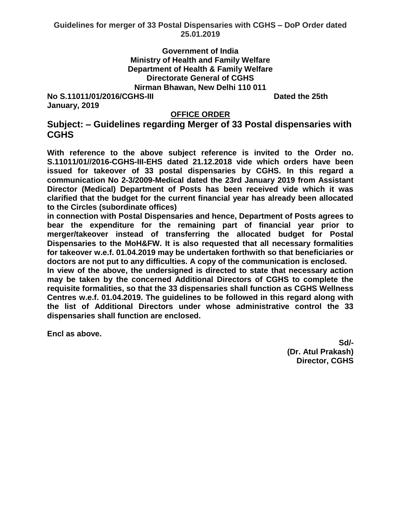### **Government of India Ministry of Health and Family Welfare Department of Health & Family Welfare Directorate General of CGHS Nirman Bhawan, New Delhi 110 011**

**No S.11011/01/2016/CGHS-III Dated the 25th Dated the 25th January, 2019**

### **OFFICE ORDER**

# **Subject: – Guidelines regarding Merger of 33 Postal dispensaries with CGHS**

**With reference to the above subject reference is invited to the Order no. S.11011/01//2016-CGHS-III-EHS dated 21.12.2018 vide which orders have been issued for takeover of 33 postal dispensaries by CGHS. In this regard a communication No 2-3/2009-Medical dated the 23rd January 2019 from Assistant Director (Medical) Department of Posts has been received vide which it was clarified that the budget for the current financial year has already been allocated to the Circles (subordinate offices)**

**in connection with Postal Dispensaries and hence, Department of Posts agrees to bear the expenditure for the remaining part of financial year prior to merger/takeover instead of transferring the allocated budget for Postal Dispensaries to the MoH&FW. It is also requested that all necessary formalities for takeover w.e.f. 01.04.2019 may be undertaken forthwith so that beneficiaries or doctors are not put to any difficulties. A copy of the communication is enclosed.**

**In view of the above, the undersigned is directed to state that necessary action may be taken by the concerned Additional Directors of CGHS to complete the requisite formalities, so that the 33 dispensaries shall function as CGHS Wellness Centres w.e.f. 01.04.2019. The guidelines to be followed in this regard along with the list of Additional Directors under whose administrative control the 33 dispensaries shall function are enclosed.**

**Encl as above.**

**Sd/-** Samuel Contract Contract Contract Contract Contract Contract Contract Contract Contract Contract Contract Contract Contract Contract Contract Contract Contract Contract Contract Contract Contract Contract Contract C **(Dr. Atul Prakash) Director, CGHS**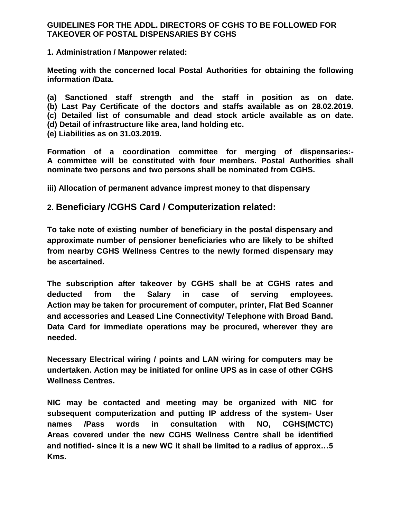#### **GUIDELINES FOR THE ADDL. DIRECTORS OF CGHS TO BE FOLLOWED FOR TAKEOVER OF POSTAL DISPENSARIES BY CGHS**

**1. Administration / Manpower related:**

**Meeting with the concerned local Postal Authorities for obtaining the following information /Data.**

**(a) Sanctioned staff strength and the staff in position as on date. (b) Last Pay Certificate of the doctors and staffs available as on 28.02.2019. (c) Detailed list of consumable and dead stock article available as on date.**

**(d) Detail of infrastructure like area, land holding etc.**

**(e) Liabilities as on 31.03.2019.**

**Formation of a coordination committee for merging of dispensaries:- A committee will be constituted with four members. Postal Authorities shall nominate two persons and two persons shall be nominated from CGHS.**

**iii) Allocation of permanent advance imprest money to that dispensary**

## **2. Beneficiary /CGHS Card / Computerization related:**

**To take note of existing number of beneficiary in the postal dispensary and approximate number of pensioner beneficiaries who are likely to be shifted from nearby CGHS Wellness Centres to the newly formed dispensary may be ascertained.**

**The subscription after takeover by CGHS shall be at CGHS rates and deducted from the Salary in case of serving employees. Action may be taken for procurement of computer, printer, Flat Bed Scanner and accessories and Leased Line Connectivity/ Telephone with Broad Band. Data Card for immediate operations may be procured, wherever they are needed.**

**Necessary Electrical wiring / points and LAN wiring for computers may be undertaken. Action may be initiated for online UPS as in case of other CGHS Wellness Centres.**

**NIC may be contacted and meeting may be organized with NIC for subsequent computerization and putting IP address of the system- User names /Pass words in consultation with NO, CGHS(MCTC) Areas covered under the new CGHS Wellness Centre shall be identified and notified- since it is a new WC it shall be limited to a radius of approx…5 Kms.**